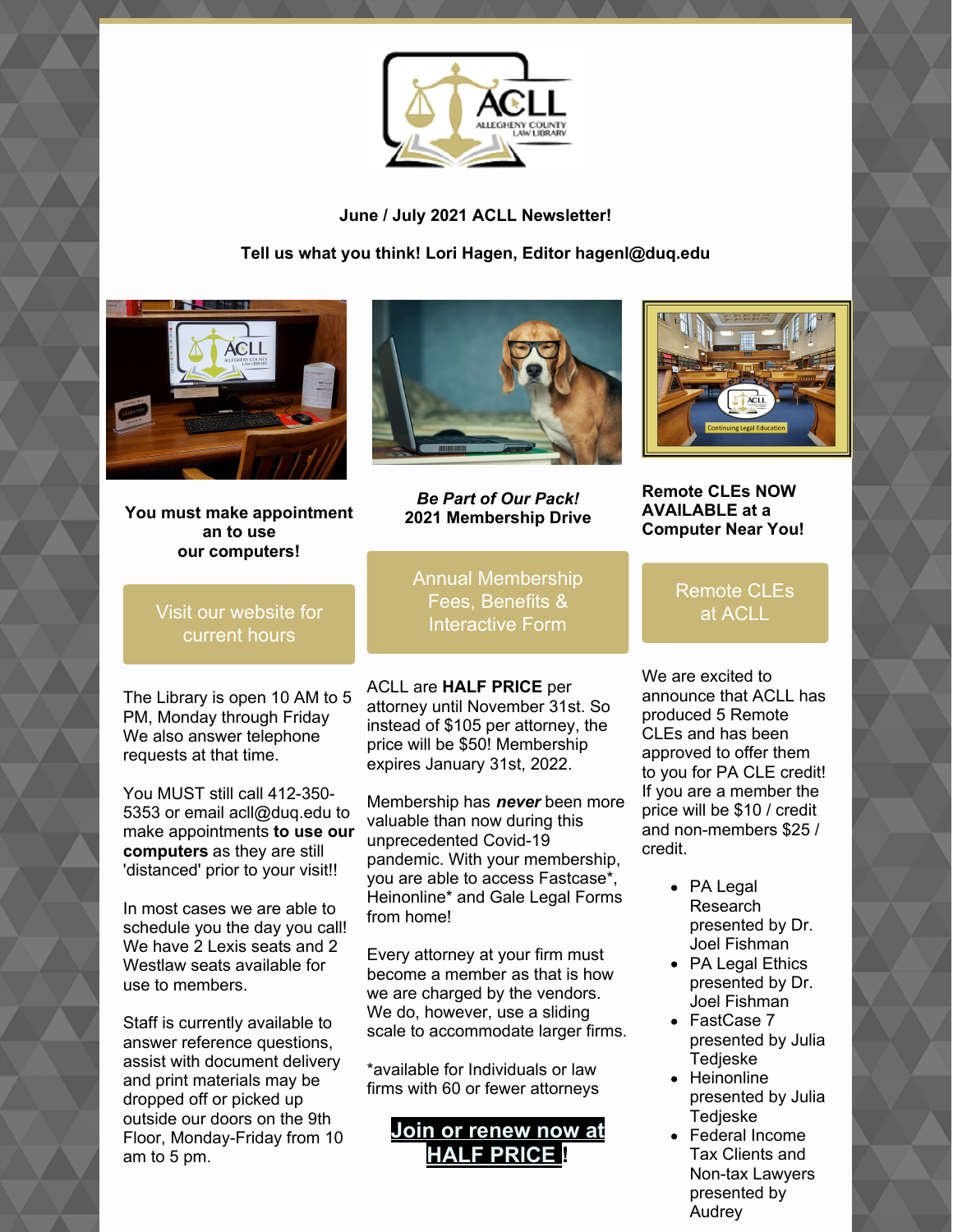

**June / July 2021 ACLL Newsletter!**

**Tell us what you think! Lori Hagen, Editor hagenl@duq.edu**



**You must make appointment an to use our computers!**



*Be Part of Our Pack!* **2021 Membership Drive**

Annual [Membership](https://www.acllib.org/index.php/membership/) Fees, Benefits & Interactive Form

ACLL are **HALF PRICE** per attorney until November 31st. So instead of \$105 per attorney, the price will be \$50! Membership expires January 31st, 2022.

Membership has *never* been more valuable than now during this unprecedented Covid-19 pandemic. With your membership, you are able to access Fastcase\*, Heinonline\* and Gale Legal Forms from home!

Every attorney at your firm must become a member as that is how we are charged by the vendors. We do, however, use a sliding scale to accommodate larger firms.

\*available for Individuals or law firms with 60 or fewer attorneys

# **Join or renew now at HALF [PRICE](https://www.acllib.org/index.php/membership/) !**



**Remote CLEs NOW AVAILABLE at a Computer Near You!**

### [Remote](https://www.acllib.org/events/) CLEs at ACLL

We are excited to announce that ACLL has produced 5 Remote CLEs and has been approved to offer them to you for PA CLE credit! If you are a member the price will be \$10 / credit and non-members \$25 / credit.

- PA Legal Research presented by Dr. Joel Fishman
- PA Legal Ethics presented by Dr. Joel Fishman
- FastCase 7 presented by Julia Tedjeske
- Heinonline presented by Julia **Tedieske**
- Federal Income Tax Clients and Non-tax Lawyers presented by Audrey

### Visit our [website](https://www.acllib.org/) for current hours

The Library is open 10 AM to 5 PM, Monday through Friday We also answer telephone requests at that time.

You MUST still call 412-350- 5353 or email acll@duq.edu to make appointments **to use our computers** as they are still 'distanced' prior to your visit!!

In most cases we are able to schedule you the day you call! We have 2 Lexis seats and 2 Westlaw seats available for use to members.

Staff is currently available to answer reference questions, assist with document delivery and print materials may be dropped off or picked up outside our doors on the 9th Floor, Monday-Friday from 10 am to 5 pm.